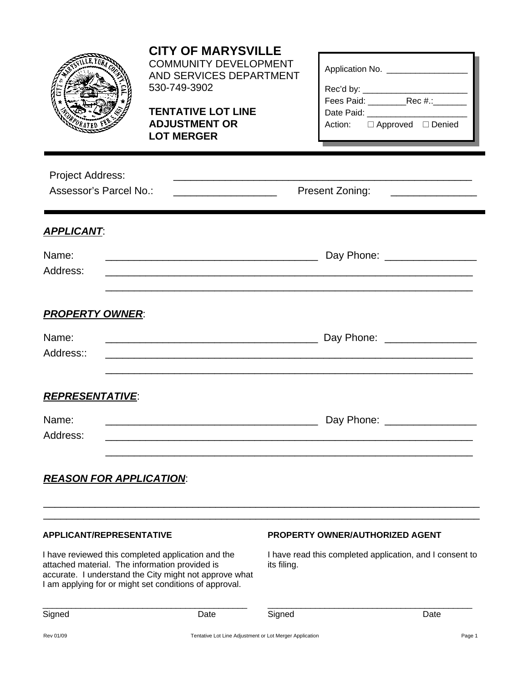|                                                   | <b>CITY OF MARYSVILLE</b><br><b>COMMUNITY DEVELOPMENT</b><br>AND SERVICES DEPARTMENT<br>530-749-3902<br><b>TENTATIVE LOT LINE</b><br><b>ADJUSTMENT OR</b><br><b>LOT MERGER</b>                                           |             | Application No. __________________<br>Action: □ Approved □ Denied |
|---------------------------------------------------|--------------------------------------------------------------------------------------------------------------------------------------------------------------------------------------------------------------------------|-------------|-------------------------------------------------------------------|
| <b>Project Address:</b><br>Assessor's Parcel No.: |                                                                                                                                                                                                                          |             | Present Zoning:                                                   |
| <b>APPLICANT:</b>                                 |                                                                                                                                                                                                                          |             |                                                                   |
| Name:<br>Address:                                 | <u> 2000 - Jan Samuel Barbara, menyebaran banyak banyak di sebagai perangan banyak di sebagai perangan dalam bany</u>                                                                                                    |             | Day Phone: _________________                                      |
| <b>PROPERTY OWNER:</b>                            |                                                                                                                                                                                                                          |             |                                                                   |
| Name:<br>Address::                                | <u> 1989 - Johann Stoff, deutscher Stoff, der Stoff, der Stoff, der Stoff, der Stoff, der Stoff, der Stoff, der S</u>                                                                                                    |             | Day Phone: ________________                                       |
| <b>REPRESENTATIVE:</b>                            |                                                                                                                                                                                                                          |             |                                                                   |
| Name:<br>Address:                                 |                                                                                                                                                                                                                          |             | Day Phone:                                                        |
| <b>REASON FOR APPLICATION:</b>                    |                                                                                                                                                                                                                          |             |                                                                   |
| APPLICANT/REPRESENTATIVE                          |                                                                                                                                                                                                                          |             | PROPERTY OWNER/AUTHORIZED AGENT                                   |
|                                                   | I have reviewed this completed application and the<br>attached material. The information provided is<br>accurate. I understand the City might not approve what<br>I am applying for or might set conditions of approval. | its filing. | I have read this completed application, and I consent to          |
| Signed                                            | Date                                                                                                                                                                                                                     | Signed      | Date                                                              |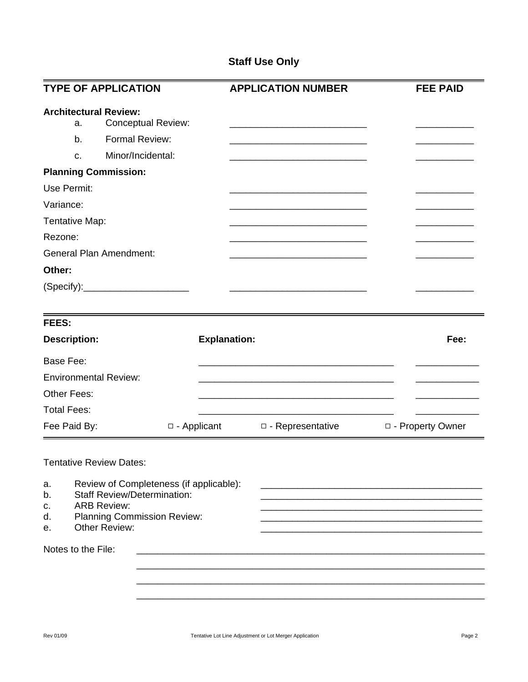## **Staff Use Only**

|                                                                                    | <b>TYPE OF APPLICATION</b>                                                                                                                                        | <b>APPLICATION NUMBER</b> | <b>FEE PAID</b>    |
|------------------------------------------------------------------------------------|-------------------------------------------------------------------------------------------------------------------------------------------------------------------|---------------------------|--------------------|
| <b>Architectural Review:</b><br>a.<br>b.<br>c.                                     | <b>Conceptual Review:</b><br>Formal Review:<br>Minor/Incidental:                                                                                                  |                           |                    |
| <b>Planning Commission:</b><br>Use Permit:<br>Variance:                            |                                                                                                                                                                   |                           |                    |
| Tentative Map:<br>Rezone:                                                          |                                                                                                                                                                   |                           |                    |
| <b>General Plan Amendment:</b><br>Other:                                           |                                                                                                                                                                   |                           |                    |
| FEES:<br><b>Description:</b>                                                       |                                                                                                                                                                   | <b>Explanation:</b>       | Fee:               |
| Base Fee:<br><b>Environmental Review:</b><br>Other Fees:                           |                                                                                                                                                                   |                           |                    |
| <b>Total Fees:</b><br>Fee Paid By:                                                 | $\square$ - Applicant                                                                                                                                             | □ - Representative        | □ - Property Owner |
| <b>Tentative Review Dates:</b><br>a.<br>b.<br>c.<br>d.<br>е.<br>Notes to the File: | Review of Completeness (if applicable):<br><b>Staff Review/Determination:</b><br><b>ARB Review:</b><br><b>Planning Commission Review:</b><br><b>Other Review:</b> |                           |                    |
|                                                                                    |                                                                                                                                                                   |                           |                    |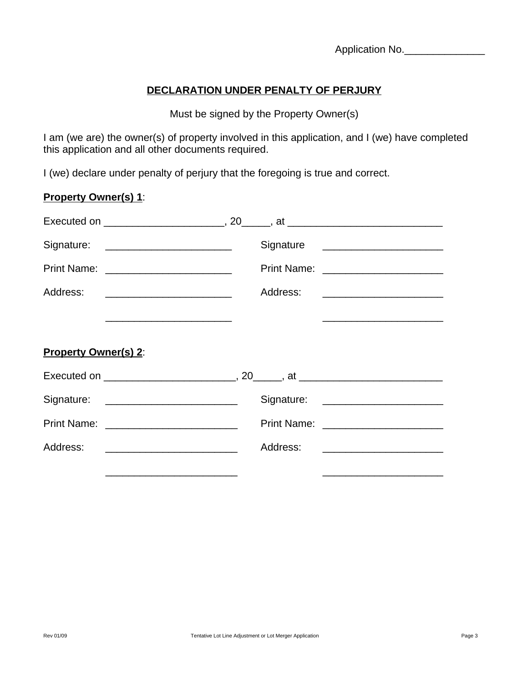Application No.\_\_\_\_\_\_\_\_\_\_\_\_\_\_

#### **DECLARATION UNDER PENALTY OF PERJURY**

Must be signed by the Property Owner(s)

I am (we are) the owner(s) of property involved in this application, and I (we) have completed this application and all other documents required.

I (we) declare under penalty of perjury that the foregoing is true and correct.

#### **Property Owner(s) 1**:

|                             | Signature: __________________________ |
|-----------------------------|---------------------------------------|
|                             | Print Name: _________________________ |
|                             | Address: __________________________   |
|                             |                                       |
|                             |                                       |
| <b>Property Owner(s) 2:</b> |                                       |
|                             |                                       |
|                             |                                       |
|                             |                                       |
|                             |                                       |
|                             |                                       |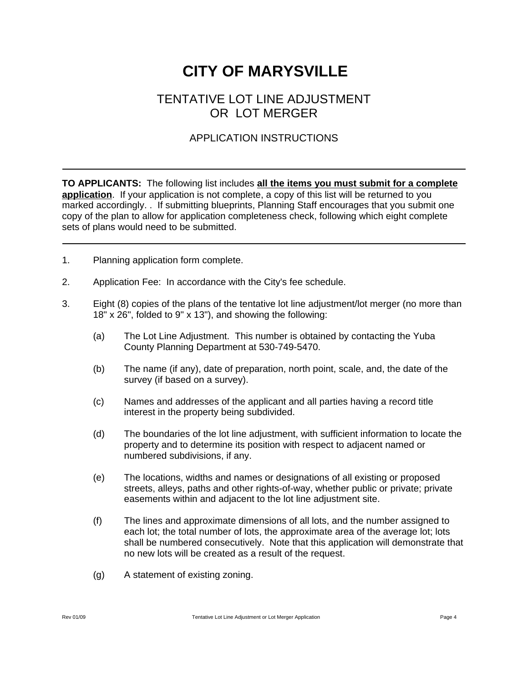# **CITY OF MARYSVILLE**

## TENTATIVE LOT LINE ADJUSTMENT OR LOT MERGER

### APPLICATION INSTRUCTIONS

**TO APPLICANTS:** The following list includes **all the items you must submit for a complete application**. If your application is not complete, a copy of this list will be returned to you marked accordingly. . If submitting blueprints, Planning Staff encourages that you submit one copy of the plan to allow for application completeness check, following which eight complete sets of plans would need to be submitted.

- 1. Planning application form complete.
- 2. Application Fee: In accordance with the City's fee schedule.
- 3. Eight (8) copies of the plans of the tentative lot line adjustment/lot merger (no more than 18" x 26", folded to 9" x 13"), and showing the following:
	- (a) The Lot Line Adjustment. This number is obtained by contacting the Yuba County Planning Department at 530-749-5470.
	- (b) The name (if any), date of preparation, north point, scale, and, the date of the survey (if based on a survey).
	- (c) Names and addresses of the applicant and all parties having a record title interest in the property being subdivided.
	- (d) The boundaries of the lot line adjustment, with sufficient information to locate the property and to determine its position with respect to adjacent named or numbered subdivisions, if any.
	- (e) The locations, widths and names or designations of all existing or proposed streets, alleys, paths and other rights-of-way, whether public or private; private easements within and adjacent to the lot line adjustment site.
	- (f) The lines and approximate dimensions of all lots, and the number assigned to each lot; the total number of lots, the approximate area of the average lot; lots shall be numbered consecutively. Note that this application will demonstrate that no new lots will be created as a result of the request.
	- (g) A statement of existing zoning.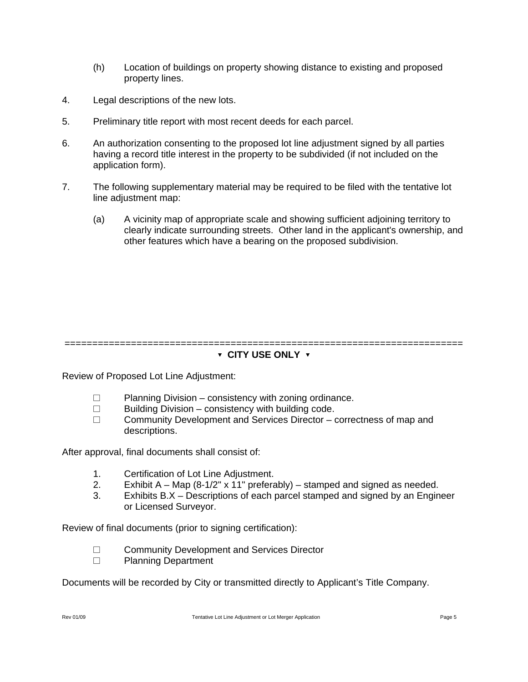- (h) Location of buildings on property showing distance to existing and proposed property lines.
- 4. Legal descriptions of the new lots.
- 5. Preliminary title report with most recent deeds for each parcel.
- 6. An authorization consenting to the proposed lot line adjustment signed by all parties having a record title interest in the property to be subdivided (if not included on the application form).
- 7. The following supplementary material may be required to be filed with the tentative lot line adjustment map:
	- (a) A vicinity map of appropriate scale and showing sufficient adjoining territory to clearly indicate surrounding streets. Other land in the applicant's ownership, and other features which have a bearing on the proposed subdivision.

#### ======================================================================== ? **CITY USE ONLY** ?

Review of Proposed Lot Line Adjustment:

- □ Planning Division consistency with zoning ordinance.<br>□ Building Division consistency with building code.
- Building Division consistency with building code.
- $\Box$  Community Development and Services Director correctness of map and descriptions.

After approval, final documents shall consist of:

- 1. Certification of Lot Line Adjustment.
- 2. Exhibit  $A Map (8-1/2" x 11" preferably) stamped and signed as needed.$
- 3. Exhibits B.X Descriptions of each parcel stamped and signed by an Engineer or Licensed Surveyor.

Review of final documents (prior to signing certification):

- □ Community Development and Services Director
- □ Planning Department

Documents will be recorded by City or transmitted directly to Applicant's Title Company.